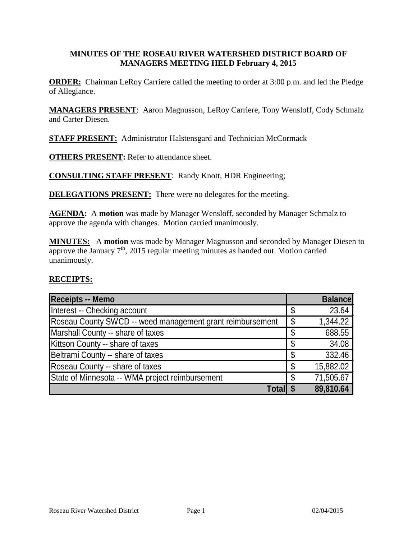#### **MINUTES OF THE ROSEAU RIVER WATERSHED DISTRICT BOARD OF MANAGERS MEETING HELD February 4, 2015**

**ORDER:** Chairman LeRoy Carriere called the meeting to order at 3:00 p.m. and led the Pledge of Allegiance.

**MANAGERS PRESENT**: Aaron Magnusson, LeRoy Carriere, Tony Wensloff, Cody Schmalz and Carter Diesen.

**STAFF PRESENT:** Administrator Halstensgard and Technician McCormack

**OTHERS PRESENT:** Refer to attendance sheet.

**CONSULTING STAFF PRESENT**: Randy Knott, HDR Engineering;

**DELEGATIONS PRESENT:** There were no delegates for the meeting.

**AGENDA:** A **motion** was made by Manager Wensloff, seconded by Manager Schmalz to approve the agenda with changes. Motion carried unanimously.

**MINUTES:** A **motion** was made by Manager Magnusson and seconded by Manager Diesen to approve the January 7<sup>th</sup>, 2015 regular meeting minutes as handed out. Motion carried unanimously.

#### **RECEIPTS:**

| <b>Receipts -- Memo</b>                                   |    | <b>Balance</b> |
|-----------------------------------------------------------|----|----------------|
| Interest -- Checking account                              | \$ | 23.64          |
| Roseau County SWCD -- weed management grant reimbursement | \$ | 1,344.22       |
| Marshall County -- share of taxes                         | \$ | 688.55         |
| Kittson County -- share of taxes                          | \$ | 34.08          |
| Beltrami County -- share of taxes                         | \$ | 332.46         |
| Roseau County -- share of taxes                           | \$ | 15,882.02      |
| State of Minnesota -- WMA project reimbursement           | S  | 71,505.67      |
| Total                                                     |    | 89,810.64      |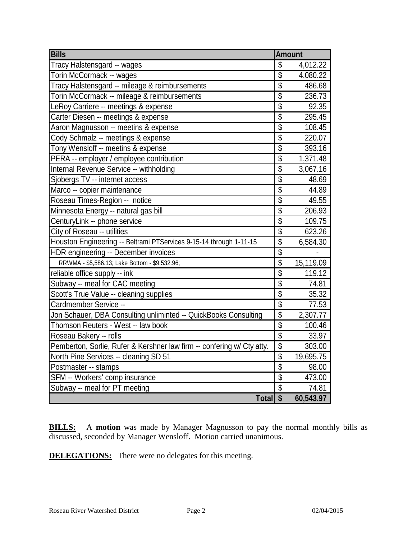| <b>Bills</b>                                                           | <b>Amount</b>            |           |
|------------------------------------------------------------------------|--------------------------|-----------|
| Tracy Halstensgard -- wages                                            | \$                       | 4,012.22  |
| Torin McCormack -- wages                                               | \$                       | 4,080.22  |
| Tracy Halstensgard -- mileage & reimbursements                         | \$                       | 486.68    |
| Torin McCormack -- mileage & reimbursements                            | $\overline{\mathcal{S}}$ | 236.73    |
| LeRoy Carriere -- meetings & expense                                   | $\overline{\$}$          | 92.35     |
| Carter Diesen -- meetings & expense                                    | \$                       | 295.45    |
| Aaron Magnusson -- meetins & expense                                   | \$                       | 108.45    |
| Cody Schmalz -- meetings & expense                                     | \$                       | 220.07    |
| Tony Wensloff -- meetins & expense                                     | $\overline{\mathcal{S}}$ | 393.16    |
| PERA -- employer / employee contribution                               | \$                       | 1,371.48  |
| Internal Revenue Service -- withholding                                | $\overline{\mathcal{S}}$ | 3,067.16  |
| Sjobergs TV -- internet access                                         | \$                       | 48.69     |
| Marco -- copier maintenance                                            | $\overline{\$}$          | 44.89     |
| Roseau Times-Region -- notice                                          | \$                       | 49.55     |
| Minnesota Energy -- natural gas bill                                   | $\overline{\$}$          | 206.93    |
| CenturyLink -- phone service                                           | $\overline{\$}$          | 109.75    |
| City of Roseau -- utilities                                            | \$                       | 623.26    |
| Houston Engineering -- Beltrami PTServices 9-15-14 through 1-11-15     | $\overline{\mathcal{S}}$ | 6,584.30  |
| HDR engineering -- December invoices                                   | \$                       |           |
| RRWMA - \$5,586.13; Lake Bottom - \$9,532.96;                          | $\overline{\$}$          | 15,119.09 |
| reliable office supply -- ink                                          | \$                       | 119.12    |
| Subway -- meal for CAC meeting                                         | $\overline{\mathbf{S}}$  | 74.81     |
| Scott's True Value -- cleaning supplies                                | $\overline{\$}$          | 35.32     |
| Cardmember Service --                                                  | $\overline{\mathcal{S}}$ | 77.53     |
| Jon Schauer, DBA Consulting unliminted -- QuickBooks Consulting        | $\overline{\$}$          | 2,307.77  |
| Thomson Reuters - West -- law book                                     | $\overline{\$}$          | 100.46    |
| Roseau Bakery -- rolls                                                 | \$                       | 33.97     |
| Pemberton, Sorlie, Rufer & Kershner law firm -- confering w/ Cty atty. | \$                       | 303.00    |
| North Pine Services -- cleaning SD 51                                  | \$                       | 19,695.75 |
| Postmaster -- stamps                                                   | \$                       | 98.00     |
| SFM -- Workers' comp insurance                                         | $\overline{\$}$          | 473.00    |
| Subway -- meal for PT meeting                                          | \$                       | 74.81     |
| Total \$                                                               |                          | 60,543.97 |

**BILLS:** A motion was made by Manager Magnusson to pay the normal monthly bills as discussed, seconded by Manager Wensloff. Motion carried unanimous.

**DELEGATIONS:** There were no delegates for this meeting.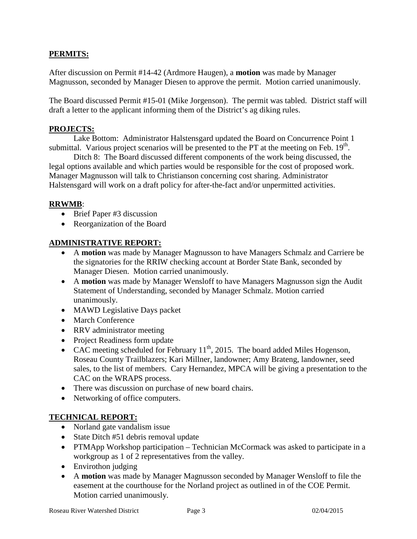# **PERMITS:**

After discussion on Permit #14-42 (Ardmore Haugen), a **motion** was made by Manager Magnusson, seconded by Manager Diesen to approve the permit. Motion carried unanimously.

The Board discussed Permit #15-01 (Mike Jorgenson). The permit was tabled. District staff will draft a letter to the applicant informing them of the District's ag diking rules.

## **PROJECTS:**

Lake Bottom: Administrator Halstensgard updated the Board on Concurrence Point 1 submittal. Various project scenarios will be presented to the PT at the meeting on Feb.  $19<sup>th</sup>$ .

Ditch 8: The Board discussed different components of the work being discussed, the legal options available and which parties would be responsible for the cost of proposed work. Manager Magnusson will talk to Christianson concerning cost sharing. Administrator Halstensgard will work on a draft policy for after-the-fact and/or unpermitted activities.

### **RRWMB**:

- Brief Paper #3 discussion
- Reorganization of the Board

# **ADMINISTRATIVE REPORT:**

- A **motion** was made by Manager Magnusson to have Managers Schmalz and Carriere be the signatories for the RRIW checking account at Border State Bank, seconded by Manager Diesen. Motion carried unanimously.
- A **motion** was made by Manager Wensloff to have Managers Magnusson sign the Audit Statement of Understanding, seconded by Manager Schmalz. Motion carried unanimously.
- MAWD Legislative Days packet
- March Conference
- RRV administrator meeting
- Project Readiness form update
- CAC meeting scheduled for February  $11^{th}$ , 2015. The board added Miles Hogenson, Roseau County Trailblazers; Kari Millner, landowner; Amy Brateng, landowner, seed sales, to the list of members. Cary Hernandez, MPCA will be giving a presentation to the CAC on the WRAPS process.
- There was discussion on purchase of new board chairs.
- Networking of office computers.

# **TECHNICAL REPORT:**

- Norland gate vandalism issue
- State Ditch #51 debris removal update
- PTMApp Workshop participation Technician McCormack was asked to participate in a workgroup as 1 of 2 representatives from the valley.
- Envirothon judging
- A **motion** was made by Manager Magnusson seconded by Manager Wensloff to file the easement at the courthouse for the Norland project as outlined in of the COE Permit. Motion carried unanimously.